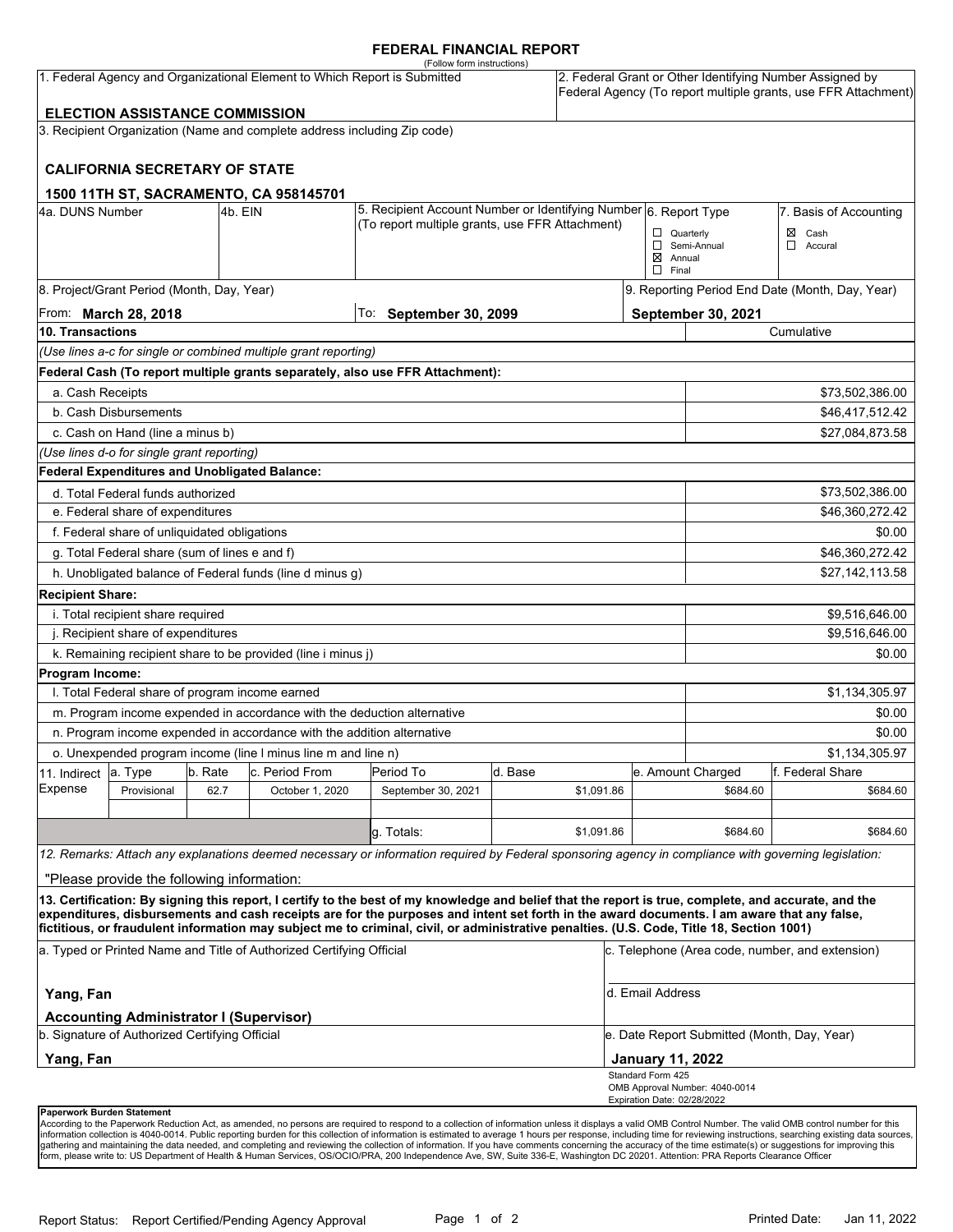### **FEDERAL FINANCIAL REPORT**

| (Follow form instructions)<br>1. Federal Agency and Organizational Element to Which Report is Submitted<br><b>ELECTION ASSISTANCE COMMISSION</b>                                                                  |                                                 |         |                                                                          |                                                                                                                                                      |                                                                  |            | 2. Federal Grant or Other Identifying Number Assigned by<br>Federal Agency (To report multiple grants, use FFR Attachment) |                                                 |                        |  |
|-------------------------------------------------------------------------------------------------------------------------------------------------------------------------------------------------------------------|-------------------------------------------------|---------|--------------------------------------------------------------------------|------------------------------------------------------------------------------------------------------------------------------------------------------|------------------------------------------------------------------|------------|----------------------------------------------------------------------------------------------------------------------------|-------------------------------------------------|------------------------|--|
|                                                                                                                                                                                                                   |                                                 |         | 3. Recipient Organization (Name and complete address including Zip code) |                                                                                                                                                      |                                                                  |            |                                                                                                                            |                                                 |                        |  |
|                                                                                                                                                                                                                   |                                                 |         |                                                                          |                                                                                                                                                      |                                                                  |            |                                                                                                                            |                                                 |                        |  |
|                                                                                                                                                                                                                   | <b>CALIFORNIA SECRETARY OF STATE</b>            |         |                                                                          |                                                                                                                                                      |                                                                  |            |                                                                                                                            |                                                 |                        |  |
|                                                                                                                                                                                                                   |                                                 |         |                                                                          |                                                                                                                                                      |                                                                  |            |                                                                                                                            |                                                 |                        |  |
| 4a. DUNS Number                                                                                                                                                                                                   |                                                 | 4b. EIN | 1500 11TH ST, SACRAMENTO, CA 958145701                                   |                                                                                                                                                      | 5. Recipient Account Number or Identifying Number 6. Report Type |            |                                                                                                                            |                                                 | 7. Basis of Accounting |  |
|                                                                                                                                                                                                                   |                                                 |         |                                                                          | (To report multiple grants, use FFR Attachment)                                                                                                      |                                                                  |            |                                                                                                                            | $\Box$ Quarterly                                | Cash<br>⊠              |  |
|                                                                                                                                                                                                                   |                                                 |         |                                                                          |                                                                                                                                                      |                                                                  |            |                                                                                                                            | Semi-Annual                                     | $\Box$ Accural         |  |
|                                                                                                                                                                                                                   |                                                 |         |                                                                          |                                                                                                                                                      |                                                                  |            | $\boxtimes$ Annual<br>$\Box$ Final                                                                                         |                                                 |                        |  |
|                                                                                                                                                                                                                   | 8. Project/Grant Period (Month, Day, Year)      |         |                                                                          |                                                                                                                                                      |                                                                  |            |                                                                                                                            | 9. Reporting Period End Date (Month, Day, Year) |                        |  |
| From: <b>March 28, 2018</b>                                                                                                                                                                                       |                                                 |         |                                                                          | To: September 30, 2099                                                                                                                               |                                                                  |            |                                                                                                                            | September 30, 2021                              |                        |  |
| 10. Transactions                                                                                                                                                                                                  |                                                 |         |                                                                          |                                                                                                                                                      |                                                                  |            |                                                                                                                            | Cumulative                                      |                        |  |
|                                                                                                                                                                                                                   |                                                 |         | (Use lines a-c for single or combined multiple grant reporting)          |                                                                                                                                                      |                                                                  |            |                                                                                                                            |                                                 |                        |  |
|                                                                                                                                                                                                                   |                                                 |         |                                                                          | Federal Cash (To report multiple grants separately, also use FFR Attachment):                                                                        |                                                                  |            |                                                                                                                            |                                                 |                        |  |
| a. Cash Receipts                                                                                                                                                                                                  |                                                 |         |                                                                          |                                                                                                                                                      |                                                                  |            |                                                                                                                            |                                                 | \$73,502,386.00        |  |
|                                                                                                                                                                                                                   | b. Cash Disbursements                           |         |                                                                          |                                                                                                                                                      |                                                                  |            |                                                                                                                            | \$46,417,512.42                                 |                        |  |
|                                                                                                                                                                                                                   | c. Cash on Hand (line a minus b)                |         |                                                                          |                                                                                                                                                      |                                                                  |            |                                                                                                                            |                                                 | \$27,084,873.58        |  |
|                                                                                                                                                                                                                   | (Use lines d-o for single grant reporting)      |         |                                                                          |                                                                                                                                                      |                                                                  |            |                                                                                                                            |                                                 |                        |  |
|                                                                                                                                                                                                                   | Federal Expenditures and Unobligated Balance:   |         |                                                                          |                                                                                                                                                      |                                                                  |            |                                                                                                                            |                                                 |                        |  |
|                                                                                                                                                                                                                   | d. Total Federal funds authorized               |         |                                                                          |                                                                                                                                                      |                                                                  |            |                                                                                                                            |                                                 | \$73,502,386.00        |  |
| e. Federal share of expenditures                                                                                                                                                                                  |                                                 |         |                                                                          |                                                                                                                                                      |                                                                  |            |                                                                                                                            |                                                 | \$46,360,272.42        |  |
| f. Federal share of unliquidated obligations                                                                                                                                                                      |                                                 |         |                                                                          |                                                                                                                                                      |                                                                  |            |                                                                                                                            |                                                 | \$0.00                 |  |
| g. Total Federal share (sum of lines e and f)                                                                                                                                                                     |                                                 |         |                                                                          |                                                                                                                                                      |                                                                  |            |                                                                                                                            | \$46,360,272.42                                 |                        |  |
| h. Unobligated balance of Federal funds (line d minus g)                                                                                                                                                          |                                                 |         |                                                                          |                                                                                                                                                      |                                                                  |            |                                                                                                                            |                                                 | \$27,142,113.58        |  |
| <b>Recipient Share:</b>                                                                                                                                                                                           |                                                 |         |                                                                          |                                                                                                                                                      |                                                                  |            |                                                                                                                            |                                                 |                        |  |
| i. Total recipient share required                                                                                                                                                                                 |                                                 |         |                                                                          |                                                                                                                                                      |                                                                  |            |                                                                                                                            |                                                 | \$9,516,646.00         |  |
| j. Recipient share of expenditures                                                                                                                                                                                |                                                 |         |                                                                          |                                                                                                                                                      |                                                                  |            |                                                                                                                            | \$9,516,646.00                                  |                        |  |
|                                                                                                                                                                                                                   |                                                 |         | k. Remaining recipient share to be provided (line i minus j)             |                                                                                                                                                      |                                                                  |            |                                                                                                                            |                                                 | \$0.00                 |  |
| Program Income:                                                                                                                                                                                                   |                                                 |         |                                                                          |                                                                                                                                                      |                                                                  |            |                                                                                                                            |                                                 |                        |  |
|                                                                                                                                                                                                                   | I. Total Federal share of program income earned |         |                                                                          |                                                                                                                                                      |                                                                  |            |                                                                                                                            |                                                 | \$1,134,305.97         |  |
|                                                                                                                                                                                                                   |                                                 |         | m. Program income expended in accordance with the deduction alternative  |                                                                                                                                                      |                                                                  |            |                                                                                                                            | \$0.00                                          |                        |  |
| n. Program income expended in accordance with the addition alternative                                                                                                                                            |                                                 |         |                                                                          |                                                                                                                                                      |                                                                  |            |                                                                                                                            | \$0.00                                          |                        |  |
|                                                                                                                                                                                                                   |                                                 |         | o. Unexpended program income (line I minus line m and line n)            |                                                                                                                                                      |                                                                  |            |                                                                                                                            |                                                 | \$1,134,305.97         |  |
| 11. Indirect                                                                                                                                                                                                      | a. Type                                         | b. Rate | c. Period From                                                           | Period To                                                                                                                                            | d. Base                                                          |            |                                                                                                                            | e. Amount Charged                               | f. Federal Share       |  |
| Expense                                                                                                                                                                                                           | Provisional                                     | 62.7    | October 1, 2020                                                          | September 30, 2021                                                                                                                                   |                                                                  | \$1,091.86 |                                                                                                                            | \$684.60                                        | \$684.60               |  |
|                                                                                                                                                                                                                   |                                                 |         |                                                                          |                                                                                                                                                      |                                                                  |            |                                                                                                                            |                                                 |                        |  |
|                                                                                                                                                                                                                   |                                                 |         |                                                                          | g Totals:                                                                                                                                            |                                                                  | \$1,091.86 |                                                                                                                            | \$684.60                                        | \$684.60               |  |
|                                                                                                                                                                                                                   |                                                 |         |                                                                          | 12. Remarks: Attach any explanations deemed necessary or information required by Federal sponsoring agency in compliance with governing legislation: |                                                                  |            |                                                                                                                            |                                                 |                        |  |
|                                                                                                                                                                                                                   | "Please provide the following information:      |         |                                                                          |                                                                                                                                                      |                                                                  |            |                                                                                                                            |                                                 |                        |  |
|                                                                                                                                                                                                                   |                                                 |         |                                                                          | 13. Certification: By signing this report, I certify to the best of my knowledge and belief that the report is true, complete, and accurate, and the |                                                                  |            |                                                                                                                            |                                                 |                        |  |
|                                                                                                                                                                                                                   |                                                 |         |                                                                          | expenditures, disbursements and cash receipts are for the purposes and intent set forth in the award documents. I am aware that any false,           |                                                                  |            |                                                                                                                            |                                                 |                        |  |
| fictitious, or fraudulent information may subject me to criminal, civil, or administrative penalties. (U.S. Code, Title 18, Section 1001)<br>a. Typed or Printed Name and Title of Authorized Certifying Official |                                                 |         |                                                                          |                                                                                                                                                      |                                                                  |            | c. Telephone (Area code, number, and extension)                                                                            |                                                 |                        |  |
| Yang, Fan                                                                                                                                                                                                         |                                                 |         |                                                                          |                                                                                                                                                      |                                                                  |            | d. Email Address                                                                                                           |                                                 |                        |  |
|                                                                                                                                                                                                                   | <b>Accounting Administrator I (Supervisor)</b>  |         |                                                                          |                                                                                                                                                      |                                                                  |            |                                                                                                                            |                                                 |                        |  |
| b. Signature of Authorized Certifying Official                                                                                                                                                                    |                                                 |         |                                                                          |                                                                                                                                                      |                                                                  |            |                                                                                                                            | e. Date Report Submitted (Month, Day, Year)     |                        |  |
| Yang, Fan                                                                                                                                                                                                         |                                                 |         |                                                                          |                                                                                                                                                      |                                                                  |            | <b>January 11, 2022</b>                                                                                                    |                                                 |                        |  |
|                                                                                                                                                                                                                   |                                                 |         |                                                                          |                                                                                                                                                      |                                                                  |            | Standard Form 425                                                                                                          | OMB Approval Number: 4040-0014                  |                        |  |
|                                                                                                                                                                                                                   | Paperwork Burden Statement                      |         |                                                                          |                                                                                                                                                      |                                                                  |            | Expiration Date: 02/28/2022                                                                                                |                                                 |                        |  |

According to the Paperwork Reduction Act, as amended, no persons are required to respond to a collection of information unless it displays a valid OMB Control Number. The valid OMB control number for this<br>information colle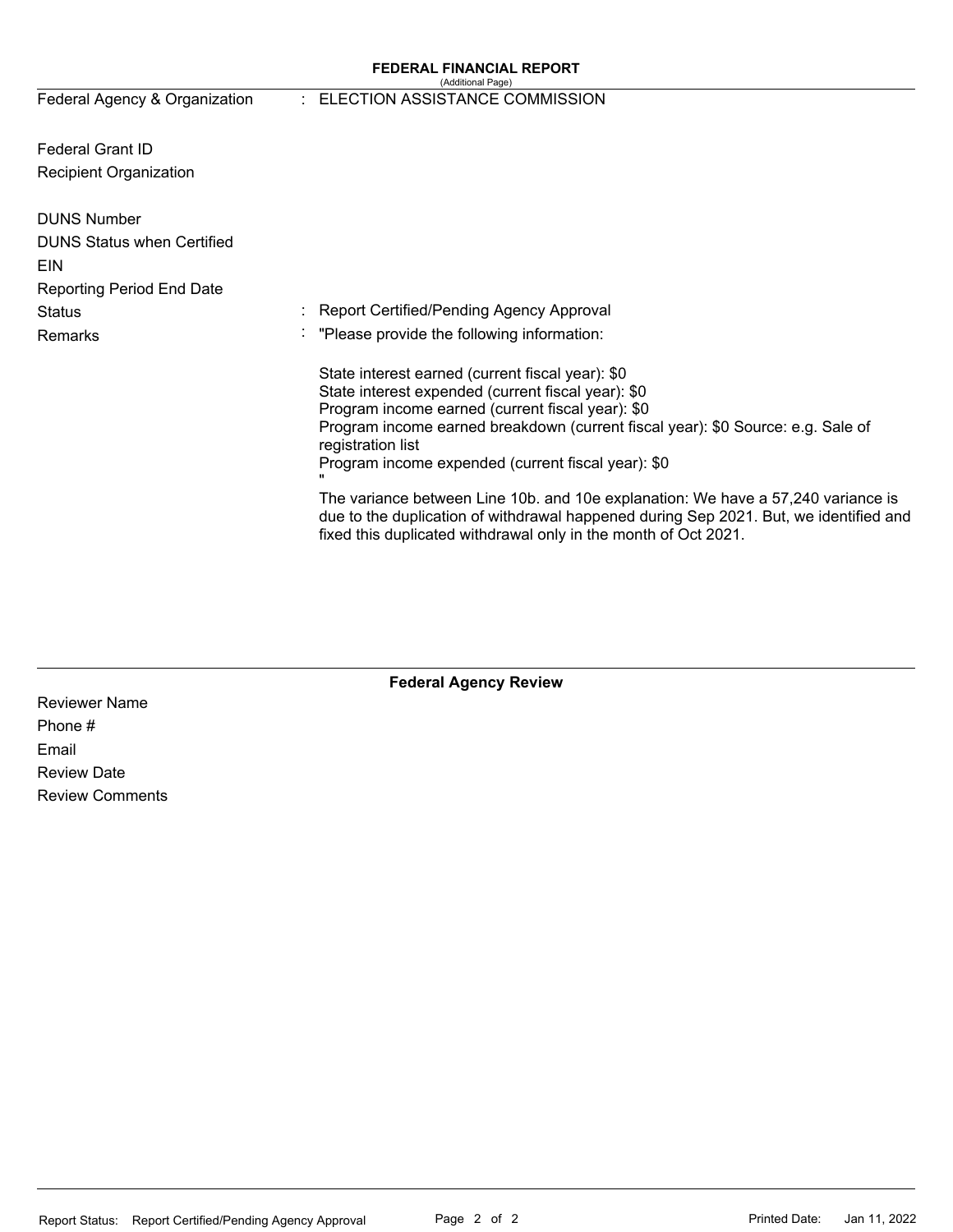#### **FEDERAL FINANCIAL REPORT**  (Additional Page)

Federal Agency & Organization

### : ELECTION ASSISTANCE COMMISSION

Federal Grant ID Recipient Organization

| <b>DUNS Number</b>                |                                                                                                                                                                                                                                              |
|-----------------------------------|----------------------------------------------------------------------------------------------------------------------------------------------------------------------------------------------------------------------------------------------|
| <b>DUNS Status when Certified</b> |                                                                                                                                                                                                                                              |
| <b>EIN</b>                        |                                                                                                                                                                                                                                              |
| <b>Reporting Period End Date</b>  |                                                                                                                                                                                                                                              |
| <b>Status</b>                     | : Report Certified/Pending Agency Approval                                                                                                                                                                                                   |
| <b>Remarks</b>                    | : "Please provide the following information:                                                                                                                                                                                                 |
|                                   | State interest earned (current fiscal year): \$0                                                                                                                                                                                             |
|                                   | State interest expended (current fiscal year): \$0                                                                                                                                                                                           |
|                                   | Program income earned (current fiscal year): \$0                                                                                                                                                                                             |
|                                   | Program income earned breakdown (current fiscal year): \$0 Source: e.g. Sale of<br>registration list                                                                                                                                         |
|                                   | Program income expended (current fiscal year): \$0<br>$\mathbf{u}$                                                                                                                                                                           |
|                                   | The variance between Line 10b. and 10e explanation: We have a 57,240 variance is<br>due to the duplication of withdrawal happened during Sep 2021. But, we identified and<br>fixed this duplicated withdrawal only in the month of Oct 2021. |

### **Federal Agency Review**

Reviewer Name Phone # Email Review Date Review Comments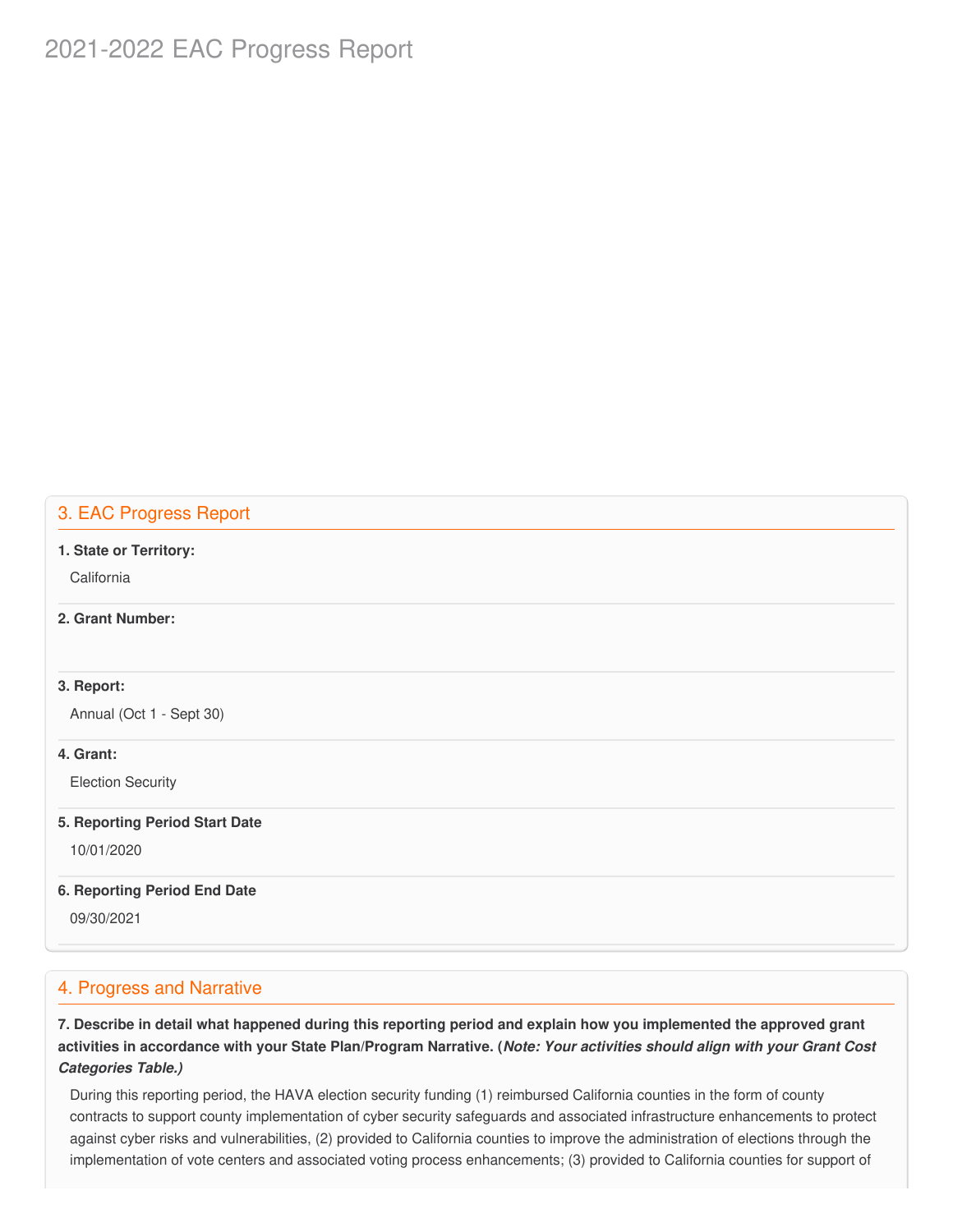# 2021-2022 EAC Progress Report

# 3. EAC Progress Report

#### **1. State or Territory:**

**California** 

#### **2. Grant Number:**

## **3. Report:**

Annual (Oct 1 - Sept 30)

### **4. Grant:**

Election Security

#### **5. Reporting Period Start Date**

10/01/2020

#### **6. Reporting Period End Date**

09/30/2021

## 4. Progress and Narrative

7. Describe in detail what happened during this reporting period and explain how you implemented the approved grant activities in accordance with your State Plan/Program Narrative. (*Note: Your activities should align with your Grant Cost Categories Table.)*

 During this reporting period, the HAVA election security funding (1) reimbursed California counties in the form of county contracts to support county implementation of cyber security safeguards and associated infrastructure enhancements to protect against cyber risks and vulnerabilities, (2) provided to California counties to improve the administration of elections through the implementation of vote centers and associated voting process enhancements; (3) provided to California counties for support of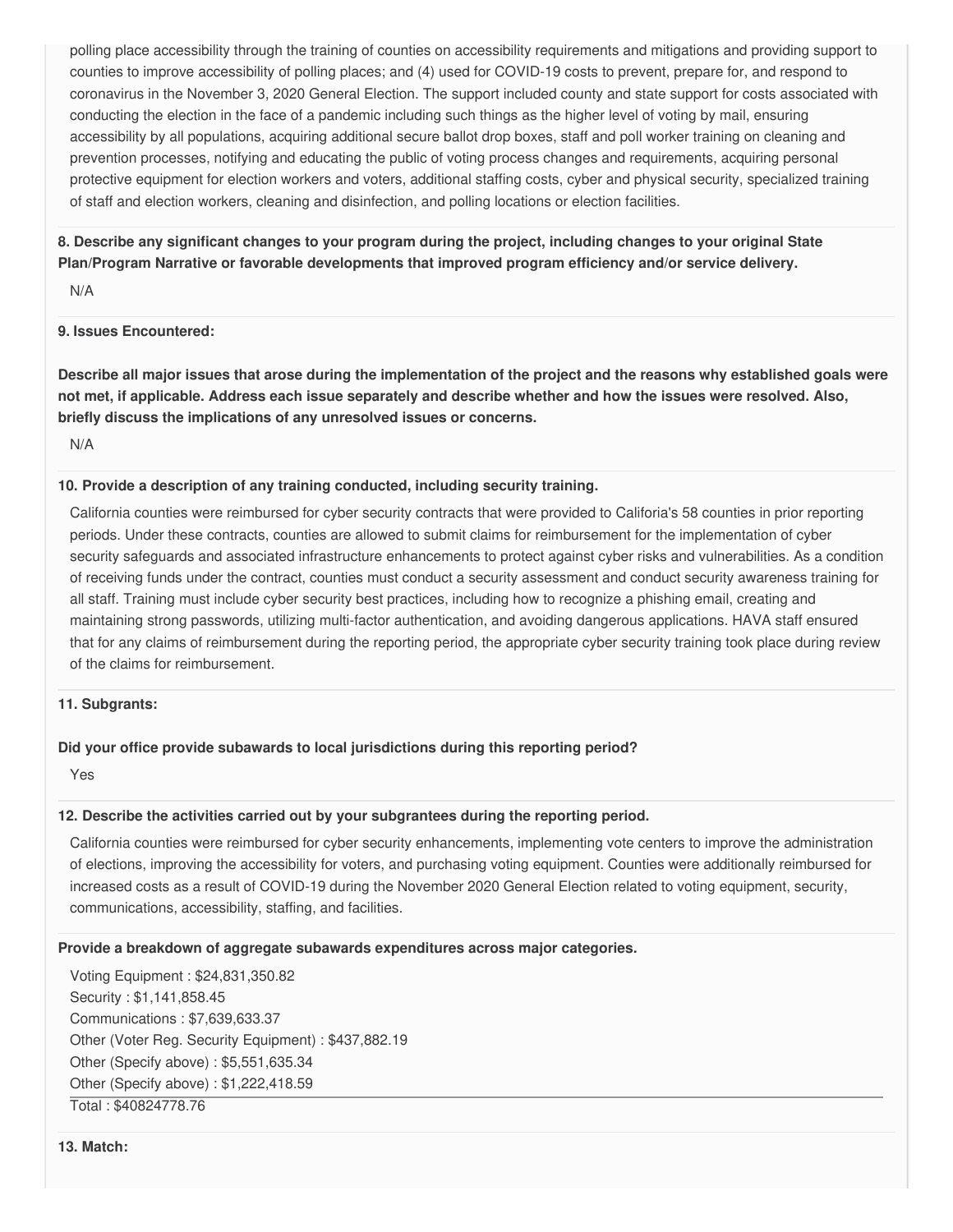polling place accessibility through the training of counties on accessibility requirements and mitigations and providing support to counties to improve accessibility of polling places; and (4) used for COVID-19 costs to prevent, prepare for, and respond to coronavirus in the November 3, 2020 General Election. The support included county and state support for costs associated with conducting the election in the face of a pandemic including such things as the higher level of voting by mail, ensuring accessibility by all populations, acquiring additional secure ballot drop boxes, staff and poll worker training on cleaning and prevention processes, notifying and educating the public of voting process changes and requirements, acquiring personal protective equipment for election workers and voters, additional staffing costs, cyber and physical security, specialized training of staff and election workers, cleaning and disinfection, and polling locations or election facilities.

8. Describe any significant changes to your program during the project, including changes to your original State  **Plan/Program Narrative or favorable developments that improved program efficiency and/or service delivery.**

N/A

#### **9. Issues Encountered:**

Describe all major issues that arose during the implementation of the project and the reasons why established goals were not met, if applicable. Address each issue separately and describe whether and how the issues were resolved. Also,  **briefly discuss the implications of any unresolved issues or concerns.**

N/A

#### **10. Provide a description of any training conducted, including security training.**

 California counties were reimbursed for cyber security contracts that were provided to Califoria's 58 counties in prior reporting periods. Under these contracts, counties are allowed to submit claims for reimbursement for the implementation of cyber security safeguards and associated infrastructure enhancements to protect against cyber risks and vulnerabilities. As a condition of receiving funds under the contract, counties must conduct a security assessment and conduct security awareness training for all staff. Training must include cyber security best practices, including how to recognize a phishing email, creating and maintaining strong passwords, utilizing multi-factor authentication, and avoiding dangerous applications. HAVA staff ensured that for any claims of reimbursement during the reporting period, the appropriate cyber security training took place during review of the claims for reimbursement.

#### **11. Subgrants:**

### **Did your office provide subawards to local jurisdictions during this reporting period?**

Yes

### **12. Describe the activities carried out by your subgrantees during the reporting period.**

 California counties were reimbursed for cyber security enhancements, implementing vote centers to improve the administration of elections, improving the accessibility for voters, and purchasing voting equipment. Counties were additionally reimbursed for increased costs as a result of COVID-19 during the November 2020 General Election related to voting equipment, security, communications, accessibility, staffing, and facilities.

#### **Provide a breakdown of aggregate subawards expenditures across major categories.**

 Voting Equipment : [\\$24,831,350.82](https://24,831,350.82) Security : \$[1,141,858.45](https://1,141,858.45) Communications : [\\$7,639,633.37](https://7,639,633.37) Other (Voter Reg. Security Equipment) : \$[437,882.19](https://437,882.19) Other (Specify above) : [\\$5,551,635.34](https://5,551,635.34) Other (Specify above) : [\\$1,222,418.59](https://1,222,418.59) Total : [\\$40824778.76](https://40824778.76)

**13. Match:**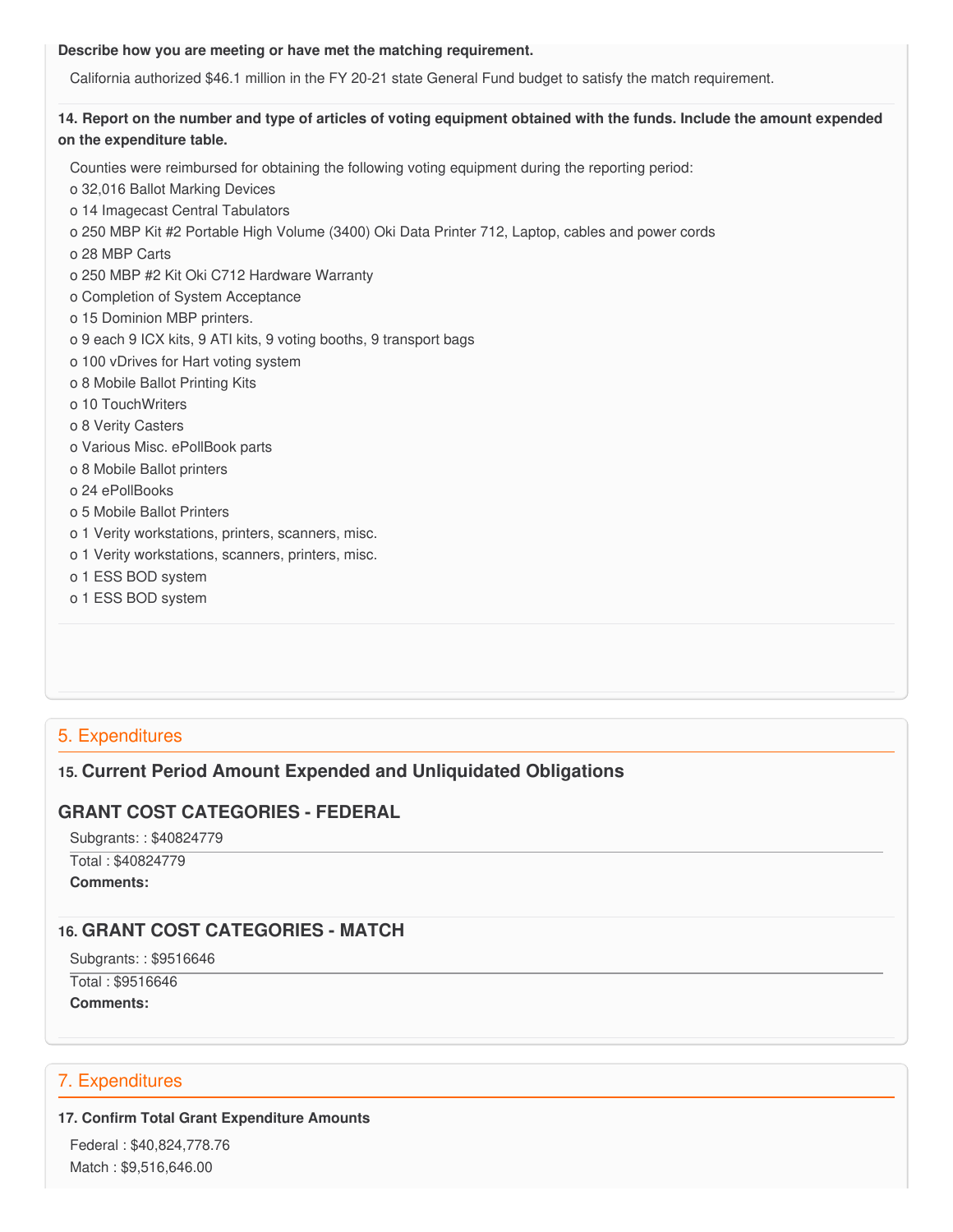#### **Describe how you are meeting or have met the matching requirement.**

California authorized \$46.1 million in the FY 20-21 state General Fund budget to satisfy the match requirement.

# 14. Report on the number and type of articles of voting equipment obtained with the funds. Include the amount expended  **on the expenditure table.**

 Counties were reimbursed for obtaining the following voting equipment during the reporting period: o 32,016 Ballot Marking Devices o 14 Imagecast Central Tabulators o 250 MBP Kit #2 Portable High Volume (3400) Oki Data Printer 712, Laptop, cables and power cords o 28 MBP Carts o 250 MBP #2 Kit Oki C712 Hardware Warranty o Completion of System Acceptance o 15 Dominion MBP printers. o 9 each 9 ICX kits, 9 ATI kits, 9 voting booths, 9 transport bags o 100 vDrives for Hart voting system o 8 Mobile Ballot Printing Kits o 10 TouchWriters o 8 Verity Casters o Various Misc. ePollBook parts o 8 Mobile Ballot printers o 24 ePollBooks o 5 Mobile Ballot Printers o 1 Verity workstations, printers, scanners, misc. o 1 Verity workstations, scanners, printers, misc. o 1 ESS BOD system o 1 ESS BOD system

# 5. Expenditures

# **15. Current Period Amount Expended and Unliquidated Obligations**

# **GRANT COST CATEGORIES - FEDERAL**

 Subgrants: : \$40824779 Total : \$40824779

**Comments:**

# **16. GRANT COST CATEGORIES - MATCH**

Subgrants: : \$9516646

 Total : \$9516646 **Comments:**

# 7. Expenditures

# **17. Confirm Total Grant Expenditure Amounts**

 Federal : \$40,824,778.76 Match : \$9,516,646.00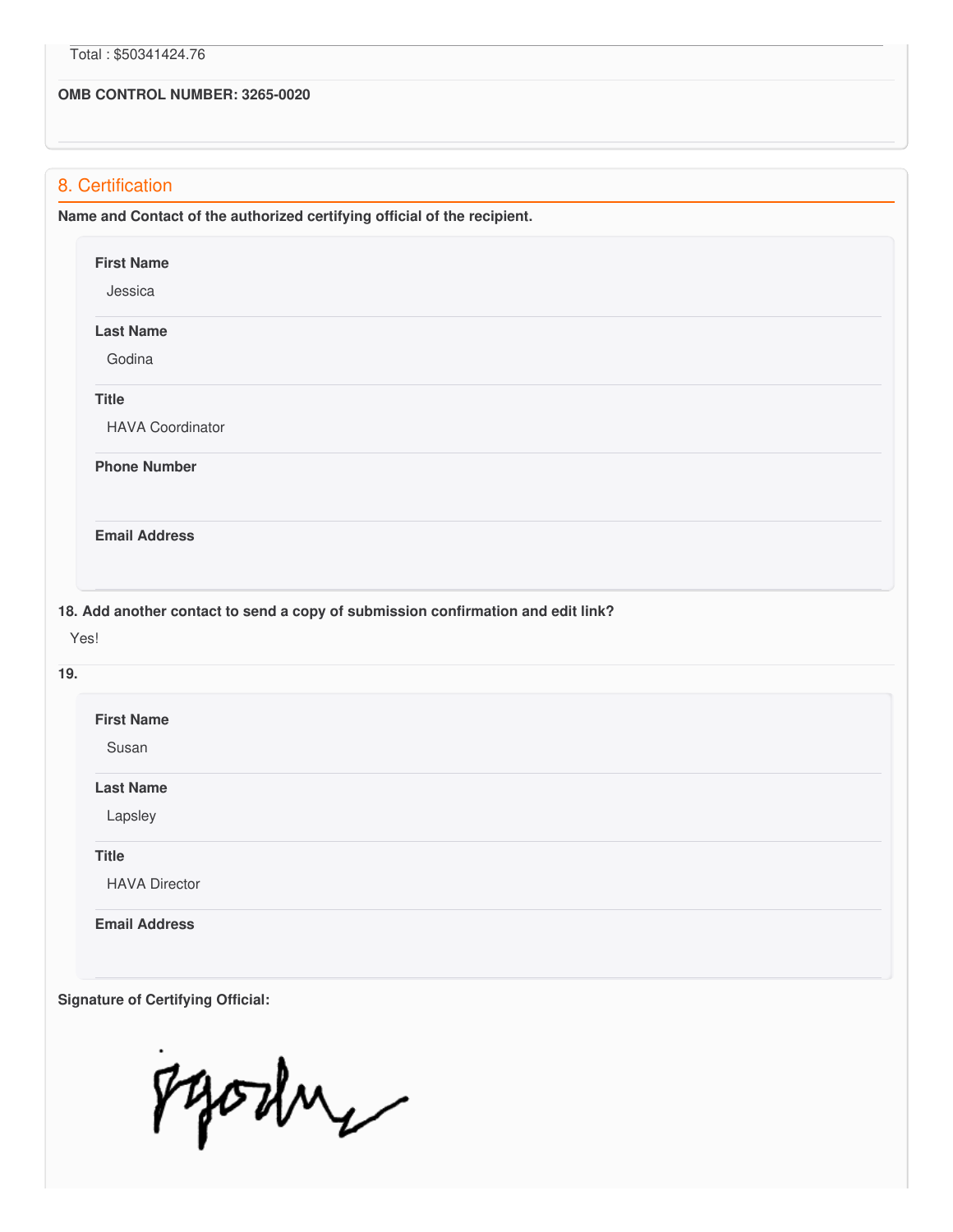#### **OMB CONTROL NUMBER: 3265-0020**

# 8. Certification

 **Name and Contact of the authorized certifying official of the recipient. Phone Number 18. Add another contact to send a copy of submission confirmation and edit link? First Name** Jessica **Last Name** Godina **Title** HAVA Coordinator **Email Address** Yes! **19. First Name** Susan **Last Name** Lapsley **Title** HAVA Director **Email Address**

Pyoshy

 **Signature of Certifying Official:**